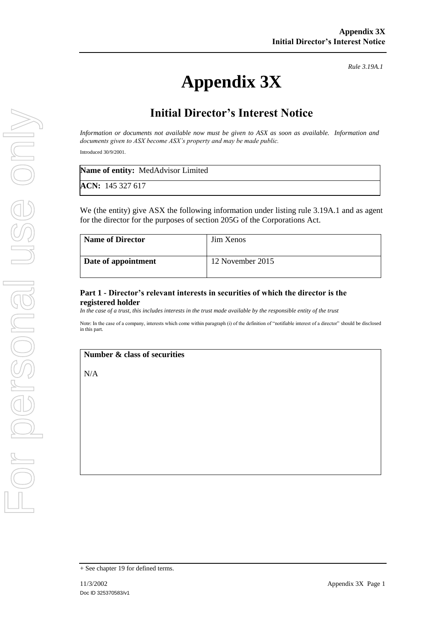# **Appendix 3X**

*Rule 3.19A.1*

# **Initial Director's Interest Notice**

*Information or documents not available now must be given to ASX as soon as available. Information and documents given to ASX become ASX's property and may be made public.*

Introduced 30/9/2001.

| <b>Name of entity:</b> MedAdvisor Limited |  |
|-------------------------------------------|--|
| ACN: 145 327 617                          |  |

We (the entity) give ASX the following information under listing rule 3.19A.1 and as agent for the director for the purposes of section 205G of the Corporations Act.

| <b>Name of Director</b> | <b>Jim Xenos</b> |
|-------------------------|------------------|
| Date of appointment     | 12 November 2015 |

#### **Part 1 - Director's relevant interests in securities of which the director is the registered holder**

*In the case of a trust, this includes interests in the trust made available by the responsible entity of the trust*

Note: In the case of a company, interests which come within paragraph (i) of the definition of "notifiable interest of a director" should be disclosed in this part.

#### **Number & class of securities**

N/A

<sup>+</sup> See chapter 19 for defined terms.